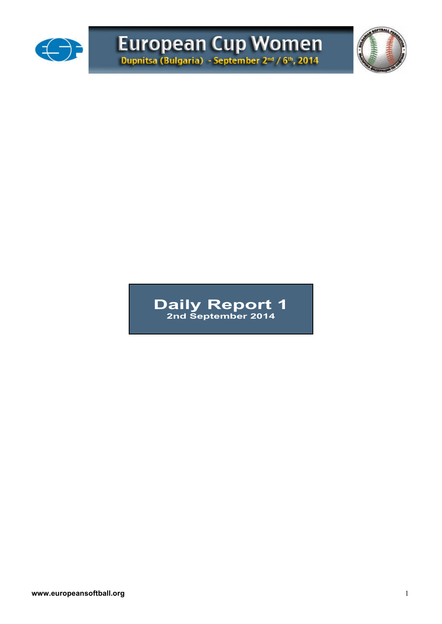

# European Cup Women



## **Daily Report 1 2nd September 2014**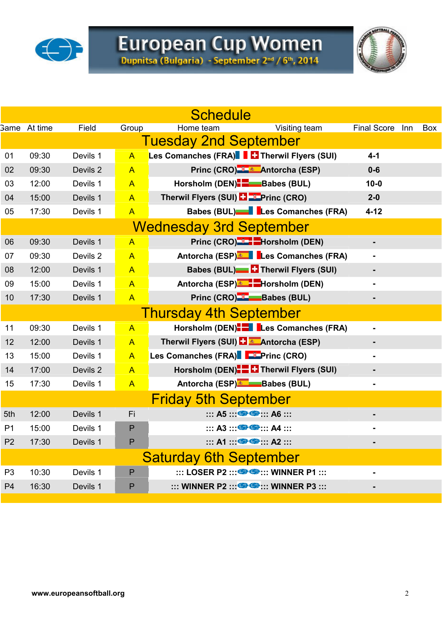



|                |                     |          |                | <b>Schedule</b>                                                                 |                    |     |            |
|----------------|---------------------|----------|----------------|---------------------------------------------------------------------------------|--------------------|-----|------------|
|                | <b>Same</b> At time | Field    | Group          | Visiting team<br>Home team                                                      | <b>Final Score</b> | Inn | <b>Box</b> |
|                |                     |          |                | <b>Tuesday 2nd September</b>                                                    |                    |     |            |
| 01             | 09:30               | Devils 1 | $\overline{A}$ | Les Comanches (FRA) Filmerwil Flyers (SUI)                                      | $4 - 1$            |     |            |
| 02             | 09:30               | Devils 2 | $\overline{A}$ | Princ (CRO) & Antorcha (ESP)                                                    | $0 - 6$            |     |            |
| 03             | 12:00               | Devils 1 | $\mathsf{A}$   | Horsholm (DEN) <b>B</b> Babes (BUL)                                             | $10 - 0$           |     |            |
| 04             | 15:00               | Devils 1 | $\overline{A}$ | Therwil Flyers (SUI) <b>Example 2</b> Princ (CRO)                               | $2 - 0$            |     |            |
| 05             | 17:30               | Devils 1 | $\overline{A}$ | Babes (BUL)   Les Comanches (FRA)                                               | $4 - 12$           |     |            |
|                |                     |          |                | <b>Wednesday 3rd September</b>                                                  |                    |     |            |
| 06             | 09:30               | Devils 1 | $\overline{A}$ | Princ (CRO) <sup>-3</sup> -Horsholm (DEN)                                       | -                  |     |            |
| 07             | 09:30               | Devils 2 | $\overline{A}$ | Antorcha (ESP) Les Comanches (FRA)                                              | $\blacksquare$     |     |            |
| 08             | 12:00               | Devils 1 | $\overline{A}$ | Babes (BUL) <b>Compared Therwil Flyers (SUI)</b>                                |                    |     |            |
| 09             | 15:00               | Devils 1 | $\overline{A}$ | Antorcha (ESP) - Horsholm (DEN)                                                 |                    |     |            |
| 10             | 17:30               | Devils 1 | $\overline{A}$ | Princ (CRO) <sup>-2</sup> -Babes (BUL)                                          | $\blacksquare$     |     |            |
|                |                     |          |                | <b>Thursday 4th September</b>                                                   |                    |     |            |
| 11             | 09:30               | Devils 1 | $\overline{A}$ | Horsholm (DEN). Les Comanches (FRA)                                             | $\blacksquare$     |     |            |
| 12             | 12:00               | Devils 1 | $\overline{A}$ | Therwil Flyers (SUI) <b>LE Antorcha (ESP)</b>                                   |                    |     |            |
| 13             | 15:00               | Devils 1 | $\overline{A}$ | Les Comanches (FRA) F Princ (CRO)                                               |                    |     |            |
| 14             | 17:00               | Devils 2 | $\overline{A}$ | Horsholm (DEN). Therwil Flyers (SUI)                                            | ٠                  |     |            |
| 15             | 17:30               | Devils 1 | $\overline{A}$ | Antorcha (ESP) Babes (BUL)                                                      |                    |     |            |
|                |                     |          |                | <b>Friday 5th September</b>                                                     |                    |     |            |
| 5th            | 12:00               | Devils 1 | Fi             | $\cdots$ A5 $\cdots$ $\bigoplus$ $\bigoplus$ $\cdots$ A6 $\cdots$               |                    |     |            |
| P <sub>1</sub> | 15:00               | Devils 1 | $\mathsf{P}$   | $\cdots$ A3 $\cdots$ $\bigoplus$ $\bigoplus$ $\cdots$ A4 $\cdots$               |                    |     |            |
| P <sub>2</sub> | 17:30               | Devils 1 | $\mathsf{P}$   | $\cdots$ A1 $\cdots$ G $\cdots$ A2 $\cdots$                                     |                    |     |            |
|                |                     |          |                | <b>Saturday 6th September</b>                                                   |                    |     |            |
| P <sub>3</sub> | 10:30               | Devils 1 | $\mathsf{P}$   | $\cdots$ LOSER P2 $\cdots$ $\bullet$ $\bullet$ $\cdots$ WINNER P1 $\cdots$      |                    |     |            |
| P <sub>4</sub> | 16:30               | Devils 1 | $\mathsf{P}$   | $\ldots$ WINNER P2 $\ldots$ $\bigoplus$ $\bigoplus$ $\ldots$ WINNER P3 $\ldots$ |                    |     |            |
|                |                     |          |                |                                                                                 |                    |     |            |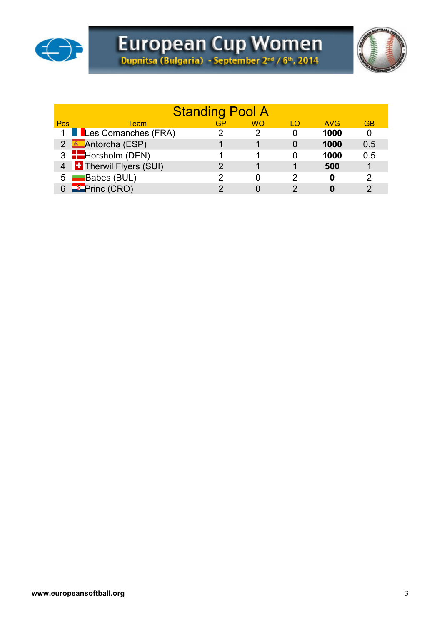



|     | <b>Standing Pool A</b>        |    |           |     |            |           |  |  |  |  |  |  |  |  |  |
|-----|-------------------------------|----|-----------|-----|------------|-----------|--|--|--|--|--|--|--|--|--|
| Pos | Team                          | GP | <b>WO</b> | I O | <b>AVG</b> | <b>GB</b> |  |  |  |  |  |  |  |  |  |
|     | 1 Les Comanches (FRA)         |    |           | 0   | 1000       | 0         |  |  |  |  |  |  |  |  |  |
|     | 2 <b>Antorcha</b> (ESP)       |    |           |     | 1000       | 0.5       |  |  |  |  |  |  |  |  |  |
|     | 3 <b>H</b> orsholm (DEN)      |    |           |     | 1000       | 0.5       |  |  |  |  |  |  |  |  |  |
|     | 4 <b>Therwil Flyers (SUI)</b> |    |           |     | 500        |           |  |  |  |  |  |  |  |  |  |
|     | 5 Babes (BUL)                 |    |           | 2   | O          | 2         |  |  |  |  |  |  |  |  |  |
|     | <b>Formal</b> Princ (CRO)     |    |           |     |            | ⌒         |  |  |  |  |  |  |  |  |  |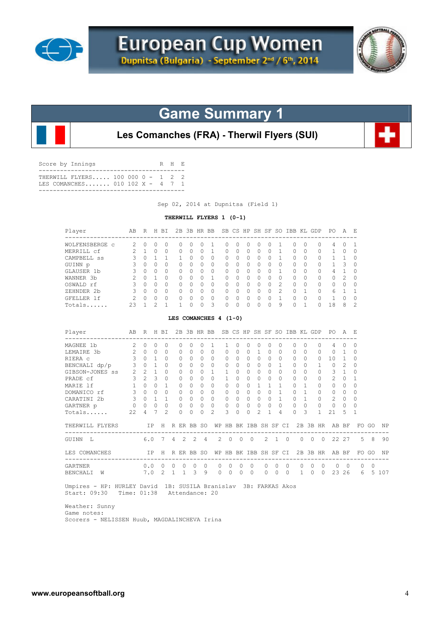



**Les Comanches (FRA) - Therwil Flyers (SUI)**

| Score by Innings                                                     | R H R |  |
|----------------------------------------------------------------------|-------|--|
| THERWILL FLYERS 100 000 0 - 1 2 2<br>TES COMANCHES 010 102 X - 4 7 1 |       |  |
|                                                                      |       |  |

Sep 02, 2014 at Dupnitsa (Field 1)

### **THERWILL FLYERS 1 (0-1)**

| Player                                                                                                        | AB           |                     | R H BI                  |                |   |              |                           |                | 2B 3B HR BB SB CS HP SH SF SO IBB KL GDP |              |          |          |                        |               |              |                |                              |   |                |              | PO A E                               |                |                |                |           |
|---------------------------------------------------------------------------------------------------------------|--------------|---------------------|-------------------------|----------------|---|--------------|---------------------------|----------------|------------------------------------------|--------------|----------|----------|------------------------|---------------|--------------|----------------|------------------------------|---|----------------|--------------|--------------------------------------|----------------|----------------|----------------|-----------|
| WOLFENSBERGE C                                                                                                | 2            | $\circ$             | $\Omega$                | $\Omega$       |   | 0            | $\Omega$                  | $\Omega$       | 1                                        | 0            | 0        |          | 0                      | $\Omega$      | $\Omega$     | 1              | 0                            |   | $\Omega$       | 0            | 4                                    | $\Omega$       | 1              |                |           |
| MERRILL cf                                                                                                    | 2            | $\mathbf{1}$        | $\Omega$                | $\Omega$       |   | $\Omega$     | $\Omega$                  | $\Omega$       | $\mathbf{1}$                             | $\Omega$     | $\Omega$ |          | $\Omega$               | $\Omega$      | $\Omega$     | 1              | $\Omega$                     |   | $\Omega$       | 0            | 1                                    | $\Omega$       | $\Omega$       |                |           |
| CAMPBELL SS                                                                                                   | 3            | $\Omega$            | $\mathbf{1}$            | 1              |   | $\mathbf{1}$ | $\Omega$                  | $\Omega$       | $\Omega$                                 | $\circ$      | $\Omega$ |          | $\Omega$               | $\Omega$      | $\Omega$     | $\mathbf{1}$   | $\Omega$                     |   | $\Omega$       | 0            | $\mathbf{1}$                         | $\mathbf{1}$   | $\Omega$       |                |           |
| GUINN p                                                                                                       | 3            | $\Omega$            | $\Omega$                | $\Omega$       |   | $\Omega$     | $\Omega$                  | $\Omega$       | $\Omega$                                 | $\Omega$     | $\Omega$ |          | $\Omega$               | $\Omega$      | $\Omega$     | $\Omega$       | $\Omega$                     |   | $\cap$         | $\Omega$     | 1.                                   | 3              | $\Omega$       |                |           |
| GLAUSER 1b                                                                                                    | 3            | $\Omega$            | $\overline{0}$          | $\Omega$       |   | $\Omega$     | $\circ$                   | 0              | $\mathbf{0}$                             | $\circ$      | $\Omega$ |          | $\Omega$               | $\Omega$      | $\Omega$     | $\mathbf{1}$   | $\circ$                      |   | $\Omega$       | 0            | 4                                    | $\mathbf{1}$   | $\circ$        |                |           |
| WANNER 3b                                                                                                     | 2            | $\Omega$            | $\mathbf{1}$            | $\Omega$       |   | $\Omega$     | $\bigcap$                 | $\Omega$       | $\mathbf{1}$                             | $\Omega$     | $\Omega$ |          | $\Omega$               | $\Omega$      | $\Omega$     | $\cap$         | $\Omega$                     |   | $\Omega$       | $\Omega$     | $\Omega$                             | 2              | $\Omega$       |                |           |
| OSWALD rf                                                                                                     | $\mathbf{3}$ | $\Omega$            | $\Omega$                | $\Omega$       |   | $\Omega$     | $\Omega$                  | $\Omega$       | $\Omega$                                 | $\circ$      | $\Omega$ |          | $\Omega$               | $\Omega$      | $\Omega$     | 2              | 0                            |   | $\Omega$       | $\circ$      | 0                                    | $\Omega$       | $\Omega$       |                |           |
| ZEHNDER 2b                                                                                                    | $\mathbf{3}$ | $0 \quad 0$         |                         | $\Omega$       |   | $\circ$      | $\bigcirc$                | $\circ$        | $\mathbf{0}$                             | $\circ$      | $\Omega$ |          | $0 \quad 0$            |               | $\Omega$     | $\overline{2}$ | $\circ$                      |   | $\mathbf{1}$   | $\circ$      | 6                                    | $\mathbf{1}$   | 1              |                |           |
| GFELLER 1f                                                                                                    | 2            | $\circ$             | $\overline{0}$          | $\circ$        |   | $\circ$      | $\circ$                   | $\mathbf 0$    | $\circ$                                  | $\circ$      | $\circ$  |          | $\circ$                | $\circ$       | $\Omega$     | $\overline{1}$ | $\circ$                      |   | $\Omega$       | $\circ$      | $\mathbf{1}$                         | $\Omega$       | $\mathbf 0$    |                |           |
| Totals                                                                                                        | 23           | $\mathbf{1}$        | 2                       | $\mathbf{1}$   |   | $\mathbf{1}$ | $\Omega$                  | $\Omega$       | 3                                        | $\Omega$     | $\Omega$ |          | $\Omega$               | $\Omega$      | $\Omega$     | 9              | $\Omega$                     |   | $\mathbf{1}$   | $\Omega$     | 18                                   | 8              | $\overline{c}$ |                |           |
|                                                                                                               |              |                     |                         |                |   |              |                           |                | LES COMANCHES 4 (1-0)                    |              |          |          |                        |               |              |                |                              |   |                |              |                                      |                |                |                |           |
| Player<br>------------------                                                                                  | AB           |                     |                         |                |   |              | R H BI 2B 3B HR BB        |                |                                          |              |          |          |                        |               |              |                | SB CS HP SH SF SO IBB KL GDP |   |                |              | PO A E                               |                |                |                |           |
| MAGNEE 1b                                                                                                     |              | $2 \quad 0$         | $\Omega$                | $\Omega$       |   | $\Omega$     | $\Omega$                  | $\Omega$       | $\mathbf{1}$                             | 1            | $\Omega$ |          | $\Omega$               | $\Omega$      | $\Omega$     | $\Omega$       | 0                            |   | $\Omega$       | $\circ$      | 4                                    | $\Omega$       | $\Omega$       |                |           |
| LEMAIRE 3b                                                                                                    |              | 200                 |                         | $\Omega$       |   | $\Omega$     | $\Omega$                  | $\Omega$       | $\circ$                                  | $\Omega$     | $\Omega$ |          | $\Omega$               | $\mathbf{1}$  | $\Omega$     | $\circ$        | 0                            |   | $\Omega$       | $\Omega$     | $\circ$                              | $\mathbf{1}$   | $\Omega$       |                |           |
| RIERA C                                                                                                       | 3            | $0 \quad 1$         |                         | $\Omega$       |   | $\Omega$     | $\Omega$                  | 0              | $\mathbf{0}$                             | $\mathbf{0}$ | $\Omega$ |          | $\Omega$               | $\Omega$      | $\Omega$     | $\Omega$       | 0                            |   | $\cap$         | 0            | 10                                   | $\mathbf{1}$   | $\Omega$       |                |           |
| BENCHALI dp/p                                                                                                 | $\mathbf{3}$ |                     | $0\quad1$               | $\Omega$       |   | 0            | $\Omega$                  | $\Omega$       | $\mathbf{0}$                             | $\mathbf{0}$ | $\Omega$ |          | $\Omega$               | $\Omega$      | $\Omega$     | 1              | $\Omega$                     |   | $\Omega$       | 1            | $\circ$                              | 2              | $\Omega$       |                |           |
| GIBSON-JONES SS                                                                                               |              | $2 \t2 \t1$         |                         | $\Omega$       |   | $\Omega$     | $\Omega$                  | $\Omega$       | $\mathbf{1}$                             | 1            | $\Omega$ |          | $\Omega$               | $\Omega$      | $\Omega$     | $\Omega$       | $\Omega$                     |   | $\Omega$       | $\Omega$     | 3                                    | $\mathbf{1}$   | $\Omega$       |                |           |
| PRADE cf                                                                                                      |              | 3 <sup>2</sup>      | $\overline{\mathbf{3}}$ | $\Omega$       |   | $\Omega$     | $\Omega$                  | $\Omega$       | $\mathbf{0}$                             | $\mathbf{1}$ | $\Omega$ |          | $\bigcirc$<br>$\Omega$ |               | $\Omega$     | $\Omega$       | $\Omega$                     |   | $\Omega$       | 0            | 2                                    | $\Omega$       | 1              |                |           |
| MARIE 1f                                                                                                      |              | $1 \quad 0 \quad 0$ |                         | 1              |   | $\Omega$     | $\Omega$                  | $\Omega$       | $\circ$                                  | $\circ$      | $\Omega$ |          | $\Omega$               | $\mathbf{1}$  | $\mathbf{1}$ | $\mathbf{1}$   | $\Omega$                     |   | $\mathbf{1}$   | 0            | $\circ$                              | $\Omega$       | $\Omega$       |                |           |
| DOMANICO rf                                                                                                   |              | 3 0 0               |                         | $\Omega$       |   | $\Omega$     | $\bigcirc$                | $\Omega$       | $\mathbf{0}$                             | $\circ$      | $\Omega$ |          | $\Omega$<br>$\bigcirc$ |               | $\Omega$     | $\mathbf{1}$   | $\circ$                      |   | $\mathbf{1}$   | 0            | $\circ$                              | $\Omega$       | $\Omega$       |                |           |
| CARATINI 2b                                                                                                   | 3 0 1        |                     |                         | $\mathbf{1}$   |   | $0 \quad 0$  |                           | $\Omega$       | $\circ$                                  | $\circ$      | $\Omega$ |          | $\Omega$<br>$\bigcirc$ |               | $\Omega$     | $\overline{1}$ | $\Omega$                     |   | $\overline{1}$ | 0            | 2                                    | $\Omega$       | $\Omega$       |                |           |
| $\begin{array}{ccccccccc}\n0 & 0 & 0 & 0\n\end{array}$<br>GARTNER p                                           |              |                     |                         | $\overline{0}$ |   | 0            | $\overline{0}$            | 0              | $\mathbf{0}$                             | $\circ$      | 0        |          | 0                      | $\Omega$      | 0            | 0              | $\circ$                      |   | $\Omega$       | $\circ$      | $\circ$                              | $\mathbf 0$    | 0              |                |           |
| Totals                                                                                                        | $22 -$       | 4                   | 7                       | $\mathfrak{D}$ |   | $\Omega$     | $\Omega$                  | $\Omega$       | $\mathfrak{D}$                           | 3            | $\Omega$ |          | $\Omega$               | $\mathcal{L}$ | $\mathbf{1}$ | 4              | $\Omega$                     |   | 3              | $\mathbf{1}$ | 2.1                                  | 5              | 1              |                |           |
| THERWILL FLYERS<br>--------------------------------                                                           |              |                     |                         |                |   |              | IP H R ER BB SO           |                |                                          |              |          |          |                        |               |              |                |                              |   |                |              | WP HB BK IBB SH SF CI 2B 3B HR AB BF |                |                | FO GO          | ΝP        |
| GUINN L                                                                                                       |              | 6.0                 |                         | 7              | 4 | 2            | 2                         | $\overline{4}$ |                                          | 2            | 0        | $\circ$  | $\mathbf 0$            |               | 2            | $\mathbf{1}$   | ----------<br>$\overline{0}$ | 0 | $\circ$        | $\mathbf 0$  |                                      | 22 27          | 5              | 8              | 90        |
| LES COMANCHES                                                                                                 |              |                     | IP -                    |                |   |              | H R ER BB SO              |                |                                          |              |          |          | WP HB BK IBB SH SF CI  |               |              |                |                              |   |                | 2B 3B HR     |                                      | AB BF          |                | FO GO          | <b>NP</b> |
| -----------------------------------<br>GARTNER                                                                |              |                     |                         |                |   |              | $0.0 \t0 \t0 \t0 \t0 \t0$ |                |                                          | 0            | 0        | 0        | 0                      |               | 0            | $\circ$        | $\mathbf 0$                  | 0 | $\overline{0}$ | $\circ$      | $\circ$                              | $\overline{0}$ | $\circ$        | $\overline{0}$ |           |
| BENCHALI W                                                                                                    |              |                     |                         | 7.0 2 1 1      |   |              | $3 -$                     | 9              |                                          | $\Omega$     | $\Omega$ | $\Omega$ | $\Omega$               |               | $\Omega$     | $\bigcirc$     | $\bigcirc$                   |   | $1 \quad 0$    | $\bigcirc$   |                                      | 23 26          |                | 6              | 5 107     |
| Umpires - HP: HURLEY David 1B: SUSILA Branislav 3B: FARKAS Akos<br>Start: 09:30<br>Time: 01:38 Attendance: 20 |              |                     |                         |                |   |              |                           |                |                                          |              |          |          |                        |               |              |                |                              |   |                |              |                                      |                |                |                |           |

 Weather: Sunny Game notes: Scorers - NELISSEN Huub, MAGDALINCHEVA Irina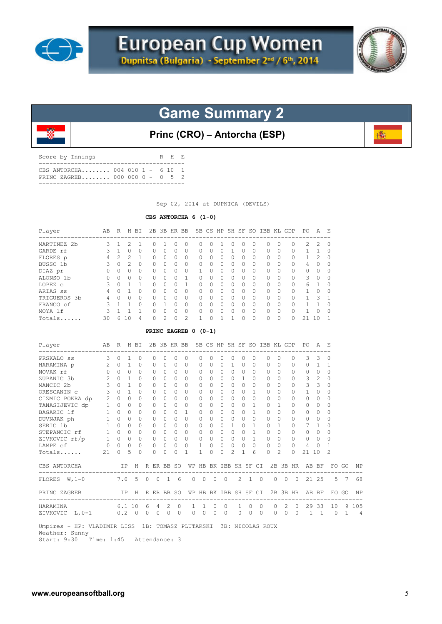



**Princ (CRO) – Antorcha (ESP)**

| CBS ANTORCHA 004 010 1 - 6 10 1<br>PRINC ZAGREB 000 000 0 - 0 5 2 | Score by Innings |  | R H E |  |
|-------------------------------------------------------------------|------------------|--|-------|--|
|                                                                   |                  |  |       |  |

Sep 02, 2014 at DUPNICA (DEVILS)

### **CBS ANTORCHA 6 (1-0)**

| Player       | AВ | R | H              | BI        | 2B       | 3B       | HR BB        |                |           | SB CS     |                  | HP SH    | SF       | SO.       | IBB KL GDP |           |          | P0       | A             | E,           |
|--------------|----|---|----------------|-----------|----------|----------|--------------|----------------|-----------|-----------|------------------|----------|----------|-----------|------------|-----------|----------|----------|---------------|--------------|
| MARTINEZ 2b  | 3  |   | 2              |           | 0        |          | <sup>0</sup> | $\Omega$       | $\Omega$  | $\Omega$  |                  | Ω        | 0        | 0         | 0          | 0         | 0        | 2        | 2             | $\Omega$     |
| GARDE rf     | ς  |   | O              | 0         | O.       | 0        | $\Omega$     | $\Omega$       | $\Omega$  | $\Omega$  | $\left( \right)$ |          | 0        | $\Omega$  | $\Omega$   | $\Omega$  | O        |          |               | $\Omega$     |
| FLORES p     | 4  | 2 | $\mathfrak{D}$ |           | O.       | $\Omega$ | $\Omega$     | $\Omega$       | $\Omega$  | $\Omega$  | <sup>0</sup>     | 0        | 0        | $\Omega$  | $\Omega$   | $\Omega$  | 0        |          | $\mathcal{P}$ | $\Omega$     |
| BUSSO 1b     | 3  |   | $\mathfrak{D}$ | $\Omega$  | 0        | $\Omega$ | $\Omega$     | $\Omega$       | $\Omega$  | $\Omega$  | $\Omega$         | 0        | 0        | $\Omega$  | $\Omega$   | $\Omega$  | 0        | 4        | $\Omega$      | $\Omega$     |
| DIAZ pr      | 0  |   | O              | 0         | O.       | O        | $\Omega$     | $\Omega$       |           | $\Omega$  | U                | $\Omega$ | O        | 0         | $\cap$     | $\Omega$  | $\Omega$ | $\Omega$ | $\Omega$      | $\Omega$     |
| ALONSO 1b    | 0  | O | O              | $\cap$    | $\Omega$ | $\Omega$ | $\bigcap$    |                | $\Omega$  | $\Omega$  | $\Omega$         | $\Omega$ | 0        | $\Omega$  | $\Omega$   | $\Omega$  | O        | 3        | <sup>0</sup>  | $\Omega$     |
| LOPEZ c      | 3  |   |                | 1         | $\Omega$ | $\Omega$ | $\bigcap$    |                | $\Omega$  | $\Omega$  | $\bigcap$        | $\Omega$ | O        | $\Omega$  | $\cap$     | $\Omega$  | $\Omega$ | 6        |               | $\Omega$     |
| ARIAS SS     | 4  | Ω |                | $\bigcap$ | $\Omega$ | $\Omega$ | $\bigcap$    | $\bigcap$      | $\Omega$  | $\Omega$  | $\Omega$         | $\Omega$ | $\Omega$ | $\bigcap$ | $\cap$     | $\Omega$  | $\Omega$ |          | <sup>0</sup>  | $\bigcap$    |
| TRIGUEROS 3b | 4  |   | O              | 0         | $\Omega$ | $\Omega$ | $\Omega$     | $\Omega$       | $\Omega$  | $\Omega$  | $\Omega$         | $\Omega$ | 0        | $\Omega$  | $\cap$     | $\Omega$  | $\Omega$ |          | ς             | 1            |
| FRANCO cf    | ς  |   |                | O.        | O.       |          | $\bigcap$    | $\bigcap$      | $\bigcap$ | $\bigcap$ | $\bigcap$        | O        | O.       | $\bigcap$ | $\bigcap$  | $\bigcap$ | 0        |          |               | $\cap$       |
| MOYA 1f      | ς  |   |                |           | O        | O        | $\Omega$     | $\Omega$       | $\Omega$  | $\Omega$  | <sup>0</sup>     | $\Omega$ | 0        | $\Omega$  | $\cap$     | $\Omega$  | 0        |          | O             | 0            |
| Totals       | 30 | 6 | 1 <sub>0</sub> | 4         | 0        | 2        | $\cap$       | $\mathfrak{D}$ |           | ∩         |                  |          | Ω        | 0         | $\cap$     | $\Omega$  | 0        | 21       | 10            | $\mathbf{1}$ |

### **PRINC ZAGREB 0 (0-1)**

| Player                                                                              | AB R H BI      |             |              |           |         |           |                 |           | 2B 3B HR BB SB CS HP SH SF SO IBB KL GDP |              |              |                   |                |                    |             |              |          |               |                |          | PO.                                  | A F.           |                |                |                |
|-------------------------------------------------------------------------------------|----------------|-------------|--------------|-----------|---------|-----------|-----------------|-----------|------------------------------------------|--------------|--------------|-------------------|----------------|--------------------|-------------|--------------|----------|---------------|----------------|----------|--------------------------------------|----------------|----------------|----------------|----------------|
| PRSKALO ss                                                                          | 3              | $\Omega$    | $\mathbf{1}$ | $\Omega$  |         | $\Omega$  | $\bigcap$       | $\Omega$  | $\Omega$                                 | 0            | $\Omega$     | $\Omega$          | $\Omega$       | $\Omega$           |             | $\Omega$     | $\Omega$ | $\Omega$      |                | $\Omega$ | 3                                    | 3              | $\Omega$       |                |                |
| HARAMINA p                                                                          | $\overline{2}$ | $\bigcap$   | $\mathbf{1}$ | $\Omega$  |         | $\bigcap$ | $\bigcap$       | $\bigcap$ | $\bigcap$                                | 0            | <sup>0</sup> | $\cap$            | $\mathbf{1}$   | $\Omega$           |             | $\Omega$     | $\Omega$ | $\cap$        |                | $\Omega$ | $\Omega$                             | $\mathbf{1}$   | -1             |                |                |
| NOVAK rf                                                                            | $\circ$        | $\Omega$    | $\Omega$     | $\circ$   |         |           | $\Omega$        | $\circ$   | 0                                        | 0            | 0            | $\Omega$          | 0              | $\Omega$           |             | $\Omega$     | 0        | $\Omega$      |                | 0        | $\mathbf{0}$                         | $\circ$        | $\Omega$       |                |                |
| ZUPANIC 3b                                                                          | 2              | $\Omega$    | $\mathbf{1}$ | $\Omega$  |         | $\Omega$  | $\Omega$        | $\Omega$  | $\Omega$                                 | $\Omega$     | $\Omega$     | $\Omega$          | $\Omega$       | $\mathbf{1}$       |             | $\Omega$     | $\Omega$ | $\Omega$      |                | $\Omega$ | 3                                    | 2              | $\Omega$       |                |                |
| MANCIC 2b                                                                           | $\mathbf{3}$   | $\Omega$    | $\mathbf{1}$ | $\Omega$  |         | $\Omega$  | $\Omega$        | $\Omega$  | $\Omega$                                 | $\Omega$     | $\Omega$     | $\Omega$          | $\Omega$       | $\Omega$           |             | $\Omega$     | $\Omega$ | $\bigcap$     |                | $\Omega$ | 3                                    | 3              | $\Omega$       |                |                |
| ORESCANIN C                                                                         | 3              | $\cap$      | $\mathbf{1}$ | $\Omega$  |         | $\Omega$  | $\bigcap$       | $\Omega$  | $\Omega$                                 | 0            | $\Omega$     | $\Omega$          | $\Omega$       | $\bigcap$          |             | $\mathbf{1}$ | $\Omega$ | <sup>n</sup>  |                | $\Omega$ | $\mathbf{1}$                         | $\Omega$       | $\Omega$       |                |                |
| CIZMIC POKRA dp                                                                     | $\overline{2}$ | $\Omega$    | $\Omega$     | $\Omega$  |         | 0         | $\bigcap$       | $\bigcap$ | $\Omega$                                 | $\Omega$     | $\Omega$     | $\Omega$          | $\Omega$       | $\bigcap$          |             | $\Omega$     | $\Omega$ | $\bigcap$     |                | $\Omega$ | $\Omega$                             | $\Omega$       | $\Omega$       |                |                |
| TANASIJEVIC dp                                                                      | 1              | $\circ$     | $\Omega$     | $\Omega$  |         | $\Omega$  | $\Omega$        | $\Omega$  | $\Omega$                                 | 0            | $\Omega$     | $\Omega$          | $\Omega$       | $\bigcap$          |             | -1           | $\Omega$ | 1             |                | $\Omega$ | $\Omega$                             | $\Omega$       | $\Omega$       |                |                |
| BAGARIC 1f 1 0<br>DUVNJAK ph 1 0<br>All 2                                           |                |             | $\Omega$     | $\bigcap$ |         | $\Omega$  | $\bigcap$       | $\bigcap$ | $\mathbf{1}$                             | 0            | $\bigcap$    | $\cap$            | $\cap$         | $\cap$             |             | 1            | $\cap$   | $\cap$        |                | $\Omega$ | $\Omega$                             | $\bigcap$      | $\Omega$       |                |                |
|                                                                                     |                |             | $\Omega$     | 0         |         | 0         | $\Omega$        | $\Omega$  | 0                                        | 0            | 0            | $\Omega$          | $\mathbf{0}$   | $\bigcap$          | $\Omega$    |              | 0        | $\Omega$      |                | 0        | $\mathbf{0}$                         | $\circ$        | $\Omega$       |                |                |
| SERIC 1b                                                                            | 1              | $\cap$      | $\Omega$     | $\Omega$  |         | $\Omega$  | $\Omega$        | $\Omega$  | $\bigcap$                                | 0            | $\Omega$     | $\Omega$          | 1.             | $\Omega$           |             | 1            | $\Omega$ |               |                | $\Omega$ |                                      | 1              | O              |                |                |
| STEPANCIC rf                                                                        |                | $1 \quad 0$ | $\Omega$     | $\Omega$  |         | $\Omega$  | $\Omega$        | $\bigcap$ | $\Omega$                                 | $\Omega$     | $\Omega$     | $\Omega$          | $\Omega$       | $\Omega$           |             | $\mathbf{1}$ | $\Omega$ | $\Omega$      |                | $\Omega$ | $\Omega$                             | $\Omega$       | $\Omega$       |                |                |
| ZIVKOVIC rf/p 1 0                                                                   |                |             | $\Omega$     | $\circ$   |         | $\Omega$  | $\Omega$        | $\circ$   | $\circ$                                  | $\Omega$     | $\circ$      | $\Omega$          | $\Omega$       | $\Omega$           |             | $\mathbf{1}$ | $\Omega$ | $\Omega$      |                | 0        | $\circ$                              | $\circ$        | $\Omega$       |                |                |
| LAMPE cf                                                                            | $\overline{0}$ | $\Omega$    | $\Omega$     | $\Omega$  |         | $\Omega$  | $\Omega$        | $\circ$   | $\Omega$                                 | $\mathbf{1}$ | 0            | $\Omega$          | 0              | $\Omega$           |             | $\Omega$     | $\Omega$ | $\Omega$      |                | $\Omega$ | $\overline{4}$                       | $\Omega$       | 1              |                |                |
| Totals                                                                              | 21             | $\bigcap$   | 5            | $\Omega$  |         | $\Omega$  | $\Omega$        | $\Omega$  | 1                                        | 1            | $\Omega$     | $\Omega$          | $\mathfrak{D}$ | 1.                 |             | 6            | $\Omega$ | $\mathcal{L}$ |                | $\Omega$ | 21                                   | 10             | $\mathfrak{D}$ |                |                |
| CBS ANTORCHA                                                                        |                |             | ΙP           |           |         |           | H R ER BB SO    |           |                                          |              |              |                   |                |                    |             |              |          |               |                |          | WP HB BK IBB SH SF CI 2B 3B HR AB BF |                |                | FO GO          | ΝP             |
| FLORES W.1-0 7.0 5 0 0 1 6                                                          |                |             |              |           |         |           |                 |           | $\circ$                                  |              |              | $0\quad 0\quad 0$ |                |                    |             | $2 \t1 \t0$  |          |               |                |          | 0 0 0 21 25                          |                |                | 5 7            | 68             |
| PRINC ZAGREB                                                                        |                |             |              |           |         |           | IP H R ER BB SO |           | WΡ                                       |              |              |                   |                | HB BK IBB SH SF CI |             |              |          |               |                |          | 2B 3B HR AB BF                       |                |                | FO GO          | <b>NP</b>      |
| HARAMINA 6.1 10                                                                     |                |             |              |           |         |           | 6 4 2 0         |           |                                          | $\mathbf{1}$ | 1 0          |                   | $\Omega$       |                    | $1 \quad 0$ | $\Omega$     |          | $\Omega$      | $\overline{2}$ | $\Omega$ |                                      |                | 29 33 10 9 105 |                |                |
| ZIVKOVIC L, 0-1 0.2 0                                                               |                |             |              |           | $\circ$ | $\circ$   | $\circ$         | $\circ$   | $\circ$                                  | $\circ$      | $\circ$      | $\circ$           |                | $\circ$            | $\circ$     | $\Omega$     |          | $\circ$       | $\circ$        | $\Omega$ | $\mathbf{1}$                         | $\overline{1}$ | $\bigcirc$     | $\overline{1}$ | $\overline{4}$ |
| Umpires - HP: VLADIMIR LISS 1B: TOMASZ PLUTARSKI 3B: NICOLAS ROUX<br>Weather: Sunny |                |             |              |           |         |           |                 |           |                                          |              |              |                   |                |                    |             |              |          |               |                |          |                                      |                |                |                |                |

Start: 9:30 Time: 1:45 Attendance: 3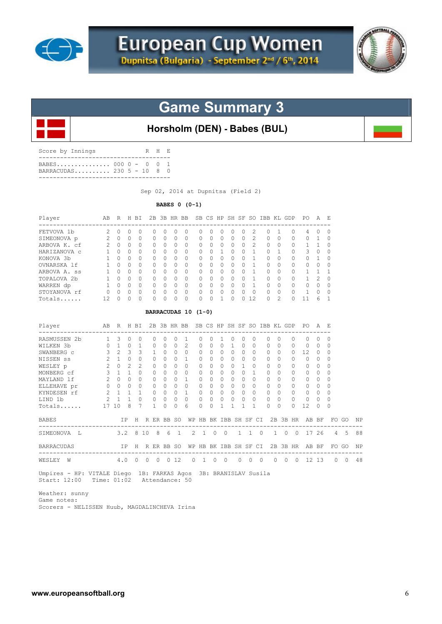



## **Horsholm (DEN) - Babes (BUL)**

| Score by Innings                               | R H E |  |
|------------------------------------------------|-------|--|
| BABES 000 0 - 0 0 1<br>BARRACUDAS 230 5 - 10 8 |       |  |
|                                                |       |  |

Sep 02, 2014 at Dupnitsa (Field 2)

**BABES 0 (0-1)** 

| Player                  | AВ             | R         | H         | BT.       |              |              | 2B 3B HR BB |              |    |          | SB CS HP | SH SF        |          | SO.                         | TBB.         | KT.            | GDP      | PO.          | A            | E.           |
|-------------------------|----------------|-----------|-----------|-----------|--------------|--------------|-------------|--------------|----|----------|----------|--------------|----------|-----------------------------|--------------|----------------|----------|--------------|--------------|--------------|
| FETVOVA 1b              | $\mathfrak{D}$ | $\bigcap$ | $\bigcap$ | O.        | $\cap$       | <sup>n</sup> | O           | O            | n  | $\Omega$ | 0        | O            | 0        | $\mathcal{D}_{\mathcal{L}}$ | <sup>0</sup> |                | $\Omega$ | 4            | <sup>0</sup> | 0            |
| SIMEONOVA p             | $\mathfrak{D}$ | $\Omega$  | $\Omega$  | $\Omega$  | $\Omega$     | $\Omega$     | $\Omega$    | $\Omega$     | 0  | $\Omega$ | 0        | $\Omega$     | $\Omega$ | $\mathcal{D}_{\mathcal{L}}$ | $\Omega$     | $\Omega$       | $\Omega$ | $\Omega$     |              | 0            |
| ARBOVA K. cf            | $\mathfrak{D}$ | $\Omega$  | $\Omega$  | $\Omega$  | <sup>n</sup> | $\Omega$     | $\bigcap$   | O            | 0  | $\Omega$ | 0        | $\cap$       | $\Omega$ | $\mathcal{P}$               | $\Omega$     | $\Omega$       | $\Omega$ | 1.           |              | O            |
| HARIZANOVA C            |                | $\bigcap$ | $\Omega$  | $\bigcap$ | <sup>n</sup> | $\Omega$     | $\bigcap$   | <sup>0</sup> | O. | $\Omega$ |          | <sup>0</sup> | $\Omega$ |                             | <sup>0</sup> |                | $\Omega$ | 3            | $\Omega$     | O            |
| KONOVA 3b               |                | $\bigcap$ | $\Omega$  | $\bigcap$ | <sup>n</sup> | $\Omega$     | $\bigcap$   | O            | 0  | $\Omega$ | 0        | $\Omega$     | $\Omega$ |                             | <sup>0</sup> | 0              | $\Omega$ | $\Omega$     |              |              |
| OVNARSKA lf             |                | $\Omega$  | $\Omega$  | 0         | <sup>n</sup> | 0            | $\bigcap$   | 0            | 0  | $\Omega$ | 0        | $\Omega$     | $\Omega$ |                             | $\Omega$     | $\Omega$       | $\Omega$ | $\Omega$     | $\Omega$     |              |
| ARBOVA A. ss            |                | $\bigcap$ | $\Omega$  | $\Omega$  | <sup>n</sup> | $\Omega$     | $\bigcap$   | O            | 0  | $\Omega$ | 0        | $\Omega$     | $\Omega$ |                             | $\Omega$     | $\Omega$       | $\Omega$ |              |              |              |
| TOPALOVA <sub>2</sub> b |                | $\bigcap$ | $\Omega$  | $\Omega$  | $\cap$       | $\Omega$     | $\bigcap$   | O            | 0  | $\Omega$ | 0        | $\Omega$     | $\Omega$ |                             | $\Omega$     | $\bigcap$      | $\Omega$ | $\mathbf{1}$ | 2            | <sup>0</sup> |
| WARREN dp               |                | $\bigcap$ | $\Omega$  | $\Omega$  | <sup>n</sup> | $\Omega$     | $\bigcap$   | O            | 0  | $\cap$   | 0        | $\cap$       | 0        |                             | $\Omega$     | $\Omega$       | $\Omega$ | 0            | $\Omega$     | O            |
| STOYANOVA rf            | O              | $\bigcap$ | $\Omega$  | $\bigcap$ | $\cap$       | $\Omega$     | $\bigcap$   | $\Omega$     | 0  | $\cap$   | $\Omega$ | $\Omega$     | $\Omega$ | $\Omega$                    | $\Omega$     | $\Omega$       | $\Omega$ |              | $\cap$       | O            |
| Totals                  | 12.            | $\bigcap$ | $\bigcap$ | $\bigcap$ | $\cap$       | <sup>n</sup> | U           | $\Omega$     | 0  | $\Omega$ |          | $\Omega$     |          | 12.                         | $\Omega$     | $\mathfrak{D}$ | $\Omega$ | 11           | 6            |              |
| BARRACUDAS 10 (1-0)     |                |           |           |           |              |              |             |              |    |          |          |              |          |                             |              |                |          |              |              |              |
| Player                  | AB             | R         | H         | ВI        | 2B           | 3B           | HR.         | <b>BB</b>    |    | SB CS    | HP       | SH           | SF       | SO.                         | IBB          | KT.            | GDP      | PO.          | Α            | F.           |

| RASMUSSEN 2b      |                | 3     |        |                |          |          |           |              |               |              |              |              |              |           |           |          |           |              |              |              | O        |     |
|-------------------|----------------|-------|--------|----------------|----------|----------|-----------|--------------|---------------|--------------|--------------|--------------|--------------|-----------|-----------|----------|-----------|--------------|--------------|--------------|----------|-----|
| WILKEN 3b         |                |       |        |                |          |          |           | $\Omega$     | 2             | 0            | <sup>0</sup> |              |              |           | n         | O.       |           | $\Omega$     | $\Omega$     |              | $\Omega$ |     |
| SWANBERG C        | 3              | 2     | ς      | 3              |          |          |           | O            |               | 0            | O            |              | N            |           |           | O.       | 0         | <sup>0</sup> | 12           | O            | O        |     |
| NISSEN SS         | 2              |       |        | <sup>0</sup>   |          |          |           | <sup>0</sup> |               | 0            | O            | 0            | O            | O.        | $\Omega$  | O.       | $\Omega$  | $\Omega$     | $\Omega$     | <sup>0</sup> | $\Omega$ |     |
| WESLEY p          | $\mathfrak{D}$ |       |        | $\mathfrak{D}$ |          |          | $\Omega$  | $\Omega$     | <sup>0</sup>  | <sup>n</sup> | $\Omega$     | O.           | O            |           | $\bigcap$ | O.       | $\bigcap$ | $\Omega$     | $\Omega$     | 0            | $\Omega$ |     |
| MONBERG cf        | 3              |       |        | O              |          |          |           | $\Omega$     | $\Omega$      |              | O            | 0            | 0            |           |           | O.       | 0         | $\Omega$     | $\Omega$     | 0            | $\Omega$ |     |
| MAYLAND 1f        | $\mathfrak{D}$ |       | $\cap$ | <sup>0</sup>   |          |          | $\cap$    | <sup>0</sup> |               | <sup>n</sup> | <sup>0</sup> | <sup>n</sup> | O.           | U         | $\cap$    | O.       | $\cap$    | $\Omega$     | $\Omega$     | <sup>0</sup> | $\Omega$ |     |
| ELLEHAVE pr       |                |       |        | $\Omega$       |          |          |           | $\Omega$     | $\Omega$      | <sup>n</sup> | 0            | 0            | 0            |           | $\Omega$  | O.       | $\Omega$  | $\Omega$     | $\Omega$     | $\Omega$     | $\Omega$ |     |
| KYNDESEN rf       |                |       |        |                |          |          | $\bigcap$ | <sup>0</sup> |               | 0            | $\Omega$     | 0            | $\cap$       | $\bigcap$ | $\Omega$  | O.       | $\Omega$  | $\Omega$     | $\Omega$     | $\Omega$     | $\Omega$ |     |
| LIND 1b           |                |       |        | 0              |          |          |           | 0            | $\Omega$      | 0            | 0            | 0            | 0            | 0         | $\Omega$  | 0        | $\Omega$  | $\Omega$     | $\mathbf{0}$ | 0            | $\Omega$ |     |
| Totals            |                | 17 10 | 8      |                |          |          |           | O            | 6             | $\Omega$     | $\cap$       |              |              |           |           | O.       | $\Omega$  | $\Omega$     | 12           | $\Omega$     | $\Omega$ |     |
| <b>BABES</b>      |                |       | ΙP     | H              |          | R ER     | BB        | SO.          | WΡ            | HB           |              | BK IBB       |              |           | SH SF CI  |          | 2B 3B HR  |              | AB           | BF           |          | FO. |
| SIMEONOVA<br>т.   |                | 3.2   |        |                | 8 10     | 8        | 6         |              | $\mathcal{L}$ | 1.           | $\Omega$     | $\Omega$     | $\mathbf{1}$ |           | $\cap$    | 1        | $\Omega$  | $\Omega$     | 17           | 26           |          | 4   |
| <b>BARRACUDAS</b> |                |       | ΙP     | H              |          | R ER BB  |           | -SO          | WΡ            | HB           |              | BK IBB SH SF |              |           | CI.       |          | 2B 3B HR  |              | AB           | BF           |          | FO. |
| WESLEY<br>W       |                | 4.0   |        | $\Omega$       | $\Omega$ | $\Omega$ | $\Omega$  | 12           | $\Omega$      |              | O.           | $\Omega$     | $\Omega$     | 0         | $\Omega$  | $\Omega$ | $\Omega$  | $\Omega$     | 12.          | 13           |          | 0   |

 Umpires - HP: VITALE Diego 1B: FARKAS Agos 3B: BRANISLAV Susila Start: 12:00 Time: 01:02 Attendance: 50

 Weather: sunny Game notes:

Scorers - NELISSEN Huub, MAGDALINCHEVA Irina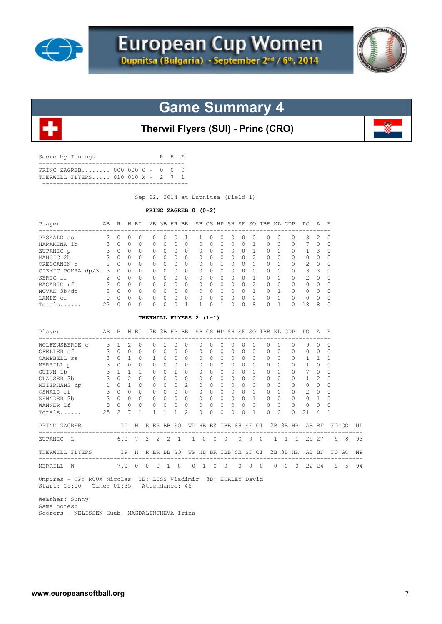



**Therwil Flyers (SUI) - Princ (CRO)**

| Score by Innings               | R H E |  |
|--------------------------------|-------|--|
| PRINC ZAGREB 000 000 0 - 0 0 0 |       |  |
|                                |       |  |

Sep 02, 2014 at Dupnitsa (Field 1)

#### **PRINC ZAGREB 0 (0-2)**

| $\Omega$<br>$\Omega$<br>$\Omega$<br>0<br>$\Omega$<br>$\Omega$<br>$\Omega$<br>$\Omega$<br>$\Omega$<br>0<br>$\Omega$<br>$\Omega$<br>0<br>$\Omega$<br>$\Omega$<br>$\Omega$<br>$\bigcap$<br>$\Omega$<br>$\Omega$<br>$\Omega$<br>$\Omega$<br>$\Omega$<br>$\bigcirc$<br>$\bigcirc$<br>$\Omega$<br>$\Omega$<br>$\Omega$<br>0<br>$\Omega$<br>$\Omega$<br>THERWILL FLYERS 2 (1-1)<br>2B 3B HR BB SB CS HP SH SF SO IBB KL GDP<br>R H BI<br>$\Omega$<br>0<br>1<br>$\Omega$<br>$\Omega$<br>0 |
|-----------------------------------------------------------------------------------------------------------------------------------------------------------------------------------------------------------------------------------------------------------------------------------------------------------------------------------------------------------------------------------------------------------------------------------------------------------------------------------|
|                                                                                                                                                                                                                                                                                                                                                                                                                                                                                   |
|                                                                                                                                                                                                                                                                                                                                                                                                                                                                                   |
|                                                                                                                                                                                                                                                                                                                                                                                                                                                                                   |
|                                                                                                                                                                                                                                                                                                                                                                                                                                                                                   |
|                                                                                                                                                                                                                                                                                                                                                                                                                                                                                   |
|                                                                                                                                                                                                                                                                                                                                                                                                                                                                                   |
|                                                                                                                                                                                                                                                                                                                                                                                                                                                                                   |
|                                                                                                                                                                                                                                                                                                                                                                                                                                                                                   |
|                                                                                                                                                                                                                                                                                                                                                                                                                                                                                   |
|                                                                                                                                                                                                                                                                                                                                                                                                                                                                                   |
|                                                                                                                                                                                                                                                                                                                                                                                                                                                                                   |
|                                                                                                                                                                                                                                                                                                                                                                                                                                                                                   |
|                                                                                                                                                                                                                                                                                                                                                                                                                                                                                   |
|                                                                                                                                                                                                                                                                                                                                                                                                                                                                                   |
|                                                                                                                                                                                                                                                                                                                                                                                                                                                                                   |
| $\Omega$<br>$\Omega$<br>1                                                                                                                                                                                                                                                                                                                                                                                                                                                         |
| $\Omega$<br>$\Omega$<br>$\Omega$                                                                                                                                                                                                                                                                                                                                                                                                                                                  |
| 1<br>$\Omega$<br>$\Omega$                                                                                                                                                                                                                                                                                                                                                                                                                                                         |
| $\bigcap$<br>$\Omega$<br>$\Omega$                                                                                                                                                                                                                                                                                                                                                                                                                                                 |
| $\Omega$<br>$\Omega$<br>0                                                                                                                                                                                                                                                                                                                                                                                                                                                         |
| $\Omega$<br>$\Omega$<br>$\circ$                                                                                                                                                                                                                                                                                                                                                                                                                                                   |
| $\bigcirc$<br>$\overline{0}$<br>$\circ$                                                                                                                                                                                                                                                                                                                                                                                                                                           |
| $\Omega$<br>$\Omega$<br>$\Omega$                                                                                                                                                                                                                                                                                                                                                                                                                                                  |
| $\mathbf{1}$<br>1<br>1                                                                                                                                                                                                                                                                                                                                                                                                                                                            |
| H R ER BB SO                                                                                                                                                                                                                                                                                                                                                                                                                                                                      |
| $2 \quad 2$<br>7                                                                                                                                                                                                                                                                                                                                                                                                                                                                  |
|                                                                                                                                                                                                                                                                                                                                                                                                                                                                                   |
| IP H R ER BB SO<br>-----------------------------------                                                                                                                                                                                                                                                                                                                                                                                                                            |
|                                                                                                                                                                                                                                                                                                                                                                                                                                                                                   |

Weather: Sunny

 Game notes: Scorers - NELISSEN Huub, MAGDALINCHEVA Irina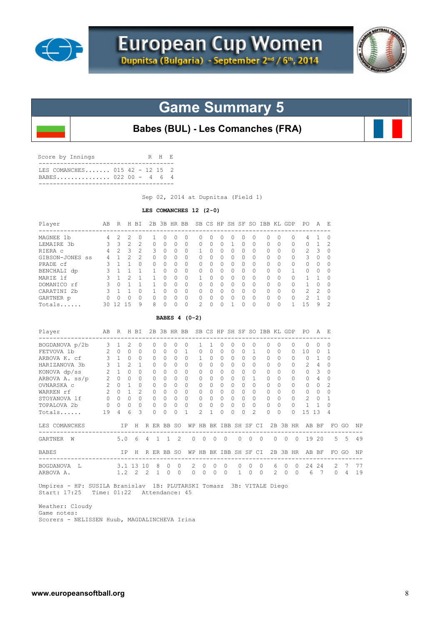



**Babes (BUL) - Les Comanches (FRA)**

| Score by Innings                                     |  |  | R H E |  |
|------------------------------------------------------|--|--|-------|--|
| TES COMANCHES 015 42 - 12 15 2<br>BABES 022 00 - 4 6 |  |  |       |  |
|                                                      |  |  |       |  |

Sep 02, 2014 at Dupnitsa (Field 1)

#### **LES COMANCHES 12 (2-0)**

| Player                                                                                                                                                                    |                                                                                                               | AB R H BI                                                                                                                   |                                                            |                                                                                                                                |                                                                                                                               |                                                                                                                                      |                                                                                                                               | 2B 3B HR BB SB CS HP SH SF SO IBB KL GDP PO                                                                                |                                                                                                                               |                                                                                                            |                                                                                                                                     |                                                                                                                               |                                                                                                                                 |                                                                                                                                               |                                                                                                                        |                                                                                                                                 |                |                                                                                                                  |                                                                                             | AE                                                                                                            |                                                                                                                                           |                       |          |
|---------------------------------------------------------------------------------------------------------------------------------------------------------------------------|---------------------------------------------------------------------------------------------------------------|-----------------------------------------------------------------------------------------------------------------------------|------------------------------------------------------------|--------------------------------------------------------------------------------------------------------------------------------|-------------------------------------------------------------------------------------------------------------------------------|--------------------------------------------------------------------------------------------------------------------------------------|-------------------------------------------------------------------------------------------------------------------------------|----------------------------------------------------------------------------------------------------------------------------|-------------------------------------------------------------------------------------------------------------------------------|------------------------------------------------------------------------------------------------------------|-------------------------------------------------------------------------------------------------------------------------------------|-------------------------------------------------------------------------------------------------------------------------------|---------------------------------------------------------------------------------------------------------------------------------|-----------------------------------------------------------------------------------------------------------------------------------------------|------------------------------------------------------------------------------------------------------------------------|---------------------------------------------------------------------------------------------------------------------------------|----------------|------------------------------------------------------------------------------------------------------------------|---------------------------------------------------------------------------------------------|---------------------------------------------------------------------------------------------------------------|-------------------------------------------------------------------------------------------------------------------------------------------|-----------------------|----------|
| MAGNEE 1b<br>LEMAIRE 3b<br>RIERA C<br>GIBSON-JONES SS<br>PRADE cf<br>BENCHALI dp<br>MARIE lf                                                                              | $\overline{4}$<br>3<br>$\overline{4}$<br>4<br>3<br>$\mathcal{S}$<br>$\mathbf{3}$                              | 2<br>3<br>$\overline{2}$<br>$\mathbf{1}$<br>$1\quad1$<br>$1\quad1$<br>$\mathbf{1}$                                          | $\mathfrak{D}$<br>$\overline{c}$<br>3<br>2<br>2            | $\Omega$<br>$\overline{c}$<br>$\overline{c}$<br>$\overline{c}$<br>$\Omega$<br>1<br>$\mathbf{1}$                                | 1<br>$\Omega$<br>3<br>$\Omega$<br>$\circ$<br>1<br>$\mathbf{1}$                                                                | 0<br>$\Omega$<br>$\Omega$<br>$\Omega$<br>$\Omega$<br>$\Omega$<br>$\Omega$                                                            | $\Omega$<br>$\Omega$<br>$\Omega$<br>$\Omega$<br>$\Omega$<br>$\Omega$<br>$\Omega$                                              | $\Omega$<br>$\Omega$<br>$\Omega$<br>$\Omega$<br>$\Omega$<br>$\Omega$<br>$\circ$                                            | 0<br>$\Omega$<br>1<br>$\Omega$<br>$\Omega$<br>$\circ$<br>$\mathbf{1}$                                                         | $\Omega$<br>$\Omega$<br>$\Omega$<br>$\Omega$<br>$\Omega$<br>$\Omega$<br>$\Omega$                           | 0<br>$\Omega$<br>$\Omega$<br>$\Omega$<br>$\Omega$<br>$\Omega$<br>$\Omega$                                                           | $\Omega$<br>1<br>$\Omega$<br>$\Omega$<br>$\Omega$<br>$\Omega$<br>$\Omega$                                                     | $\Omega$<br>$\Omega$<br>$\Omega$<br>$\bigcap$<br>$\Omega$<br>$\Omega$<br>$\Omega$                                               | $\Omega$<br>$\Omega$<br>$\Omega$<br>$\Omega$<br>$\Omega$<br>$\Omega$<br>$\Omega$                                                              | $\Omega$<br>$\Omega$<br>$\Omega$<br>$\Omega$<br>$\Omega$<br>$\Omega$<br>$\Omega$                                       | $\Omega$<br>$\bigcap$<br>$\Omega$<br>$\Omega$<br>$\Omega$<br>$\Omega$<br>$\Omega$                                               |                | 0<br>$\Omega$<br>0<br>0<br>$\circ$<br>$\mathbf{1}$<br>$\circ$                                                    | 4<br>0<br>2<br>3<br>$\Omega$<br>$\circ$<br>$\mathbf{1}$                                     | 1<br>$\mathbf{1}$<br>3<br>$\Omega$<br>$\Omega$<br>$\Omega$<br>1                                               | $\Omega$<br>2<br>$\Omega$<br>$\Omega$<br>$\Omega$<br>$\Omega$<br>$\Omega$                                                                 |                       |          |
| DOMANICO rf<br>CARATINI 2b<br>GARTNER p<br>Totals                                                                                                                         | $\mathbf{3}$<br>$\overline{\mathbf{3}}$<br>$\overline{0}$                                                     | $1 \quad 1$<br>$\Omega$<br>30 12 15                                                                                         | $0\quad1$<br>$\Omega$                                      | $\mathbf{1}$<br>$\Omega$<br>$\bigcap$<br>9                                                                                     | $\mathbf{1}$<br>$\overline{1}$<br>$\Omega$<br>8                                                                               | $\Omega$<br>$\Omega$<br>$\Omega$<br>$\Omega$                                                                                         | $\Omega$<br>$\Omega$<br>$\Omega$<br>$\Omega$                                                                                  | $\circ$<br>$\bigcirc$<br>$\Omega$<br>$\Omega$                                                                              | $\circ$<br>$\Omega$<br>$\Omega$<br>$\overline{a}$                                                                             | $\Omega$<br>$\Omega$<br>$\Omega$<br>$\Omega$                                                               | $\Omega$<br>$\Omega$<br>$\Omega$<br>$\Omega$                                                                                        | $\Omega$<br>$\Omega$<br>$\Omega$<br>1                                                                                         | $\Omega$<br>$\Omega$<br>$\Omega$<br>$\Omega$                                                                                    | $\Omega$<br>$\Omega$<br>$\Omega$<br>$\Omega$                                                                                                  | 0<br>$\Omega$<br>$\circ$<br>$\Omega$                                                                                   | $\Omega$<br>$\Omega$<br>$\Omega$<br>$\Omega$                                                                                    |                | $\circ$<br>$\Omega$<br>$\Omega$<br>$\mathbf{1}$                                                                  | $\mathbf{1}$<br>$\overline{c}$<br>$\overline{c}$<br>15                                      | $\mathbf{0}$<br>$\mathfrak{D}$<br>$\mathbf{1}$<br>9                                                           | $\mathbf 0$<br>$\Omega$<br>$\mathbf 0$<br>$\overline{c}$                                                                                  |                       |          |
|                                                                                                                                                                           |                                                                                                               |                                                                                                                             |                                                            |                                                                                                                                |                                                                                                                               |                                                                                                                                      |                                                                                                                               | BABES 4 (0-2)                                                                                                              |                                                                                                                               |                                                                                                            |                                                                                                                                     |                                                                                                                               |                                                                                                                                 |                                                                                                                                               |                                                                                                                        |                                                                                                                                 |                |                                                                                                                  |                                                                                             |                                                                                                               |                                                                                                                                           |                       |          |
| Player                                                                                                                                                                    | AВ                                                                                                            |                                                                                                                             |                                                            | R H BI                                                                                                                         |                                                                                                                               |                                                                                                                                      |                                                                                                                               | 2B 3B HR BB SB CS HP SH SF SO IBB KL GDP                                                                                   |                                                                                                                               |                                                                                                            |                                                                                                                                     |                                                                                                                               |                                                                                                                                 |                                                                                                                                               |                                                                                                                        |                                                                                                                                 |                |                                                                                                                  | PO A E                                                                                      |                                                                                                               |                                                                                                                                           |                       |          |
| BOGDANOVA p/2b<br>FETVOVA 1b<br>ARBOVA K. cf<br>HARIZANOVA 3b<br>KONOVA dp/ss<br>ARBOVA A. ss/p 2 0 0<br>OVNARSKA c<br>WARREN rf<br>STOYANOVA lf<br>TOPALOVA 2b<br>Totals | 3<br>2<br>$\mathbf{3}$<br>$\mathbf{3}$<br>2<br>$2^{\circ}$<br>$\overline{2}$<br>$\circ$<br>$\mathbf{0}$<br>19 | $\mathbf{1}$<br>$\Omega$<br>$1 \quad 0$<br>$1 \quad 2$<br>$1 \quad 0$<br>$\cap$<br>$0 \quad 1$<br>$\Omega$<br>$\Omega$<br>4 | 2<br>$\Omega$<br>$\mathbf{1}$<br>$\Omega$<br>$\Omega$<br>6 | $\circ$<br>$\Omega$<br>$\cap$<br>$\mathbf{1}$<br>$\Omega$<br>$\Omega$<br>$\cap$<br>$\overline{c}$<br>$\Omega$<br>$\Omega$<br>3 | $\circ$<br>$\Omega$<br>$\Omega$<br>$\Omega$<br>$\circ$<br>$\Omega$<br>$\Omega$<br>$\Omega$<br>$\circ$<br>$\Omega$<br>$\Omega$ | $\mathbf{0}$<br>$\Omega$<br>$\Omega$<br>$\Omega$<br>$\Omega$<br>$\Omega$<br>$\Omega$<br>$\Omega$<br>$\Omega$<br>$\Omega$<br>$\Omega$ | $\circ$<br>$\Omega$<br>$\Omega$<br>$\Omega$<br>$\circ$<br>$\Omega$<br>$\Omega$<br>$\Omega$<br>$\circ$<br>$\Omega$<br>$\Omega$ | $\circ$<br>$\mathbf{1}$<br>$\Omega$<br>$\Omega$<br>$\Omega$<br>$\Omega$<br>$\Omega$<br>$\Omega$<br>$\circ$<br>$\circ$<br>1 | $\mathbf{1}$<br>$\Omega$<br>$\mathbf{1}$<br>$\Omega$<br>$\circ$<br>$\Omega$<br>$\Omega$<br>$\Omega$<br>0<br>$\mathbf{0}$<br>2 | 1<br>$\Omega$<br>$\Omega$<br>$\Omega$<br>$\Omega$<br>$\Omega$<br>$\Omega$<br>$\Omega$<br>$\circ$<br>0<br>1 | 0<br>$\Omega$<br>$\Omega$<br>$\Omega$<br>$\Omega$<br>$\Omega$<br>$\Omega$<br>$\Omega$<br>$\overline{0}$<br>$\mathbf{0}$<br>$\Omega$ | $\circ$<br>$\Omega$<br>$\Omega$<br>$\Omega$<br>$\circ$<br>$\Omega$<br>$\Omega$<br>$\Omega$<br>$\circ$<br>$\Omega$<br>$\Omega$ | $\circ$<br>$\Omega$<br>$\Omega$<br>$\Omega$<br>$\Omega$<br>$\Omega$<br>$\Omega$<br>$\Omega$<br>$\Omega$<br>$\Omega$<br>$\Omega$ | $\circ$<br>$\mathbf{1}$<br>$\Omega$<br>$\Omega$<br>$\Omega$<br>$\mathbf{1}$<br>$\Omega$<br>$\Omega$<br>$\Omega$<br>$\Omega$<br>$\mathfrak{D}$ | 0<br>$\Omega$<br>$\Omega$<br>$\circ$<br>$\circ$<br>$\Omega$<br>$\Omega$<br>$\Omega$<br>$\circ$<br>$\Omega$<br>$\Omega$ | $\circ$<br>$\Omega$<br>$\Omega$<br>$\Omega$<br>$\Omega$<br>$\Omega$<br>$\Omega$<br>$\Omega$<br>$\Omega$<br>$\Omega$<br>$\Omega$ |                | $\circ$<br>$\Omega$<br>$\Omega$<br>0<br>$\circ$<br>$\Omega$<br>$\Omega$<br>$\Omega$<br>0<br>$\Omega$<br>$\Omega$ | $\circ$<br>10<br>$\mathbf{0}$<br>2<br>0<br>$\Omega$<br>$\Omega$<br>$\Omega$<br>2<br>1<br>15 | $\circ$<br>$\Omega$<br>$\mathbf{1}$<br>4<br>3<br>$\overline{4}$<br>$\Omega$<br>$\Omega$<br>$\circ$<br>1<br>13 | $\mathbf 0$<br>$\mathbf{1}$<br>$\Omega$<br>$\Omega$<br>$\circ$<br>$\Omega$<br>$\overline{2}$<br>$\Omega$<br>$\mathbf{1}$<br>$\Omega$<br>4 |                       |          |
| LES COMANCHES<br>---------------                                                                                                                                          |                                                                                                               |                                                                                                                             | ΙP                                                         |                                                                                                                                | H R ER BB SO                                                                                                                  |                                                                                                                                      |                                                                                                                               |                                                                                                                            |                                                                                                                               |                                                                                                            |                                                                                                                                     |                                                                                                                               |                                                                                                                                 |                                                                                                                                               | WP HB BK IBB SH SF CI                                                                                                  |                                                                                                                                 |                |                                                                                                                  | 2B 3B HR AB BF                                                                              |                                                                                                               |                                                                                                                                           | FO GO                 | ΝP       |
| GARTNER W<br><b>BABES</b>                                                                                                                                                 |                                                                                                               | 5.0                                                                                                                         | ΙP                                                         | 6                                                                                                                              | $4 \quad 1$<br>H R ER BB SO                                                                                                   |                                                                                                                                      | 1                                                                                                                             | 2                                                                                                                          | 0<br>WP HB BK IBB SH SF CI                                                                                                    | $\circ$<br>0                                                                                               | 0                                                                                                                                   |                                                                                                                               | 0                                                                                                                               | $\overline{0}$                                                                                                                                | 0                                                                                                                      | $\circ$                                                                                                                         | $\overline{0}$ | 0<br>2B 3B HR                                                                                                    |                                                                                             | 19 20<br>AB BF                                                                                                | 5                                                                                                                                         | -5<br>FO GO           | 49<br>ΝP |
| ----------------<br>BOGDANOVA L<br>ARBOVA A.                                                                                                                              |                                                                                                               |                                                                                                                             |                                                            | 3.1 13 10<br>$1.2 \quad 2 \quad 2$                                                                                             | -------------<br>- 8<br>$\overline{1}$                                                                                        |                                                                                                                                      | $\circ$<br>$\Omega$                                                                                                           | 0<br>$\Omega$                                                                                                              | 2<br>0<br>$\Omega$                                                                                                            | 0<br>$\circ$<br>$\Omega$                                                                                   | 0<br>$\Omega$                                                                                                                       |                                                                                                                               | $\circ$<br>$\mathbf{1}$                                                                                                         | $\circ$<br>$\circ$                                                                                                                            | 0<br>$\Omega$                                                                                                          | 6<br>2                                                                                                                          | 0<br>$\Omega$  | 0<br>$\Omega$                                                                                                    | 6                                                                                           | 24 24<br>7                                                                                                    | 2<br>$\Omega$                                                                                                                             | - 7<br>$\overline{4}$ | 77<br>19 |

 Umpires - HP: SUSILA Branislav 1B: PLUTARSKI Tomasz 3B: VITALE Diego Start: 17:25 Time: 01:22 Attendance: 45

 Weather: Cloudy Game notes: Scorers - NELISSEN Huub, MAGDALINCHEVA Irina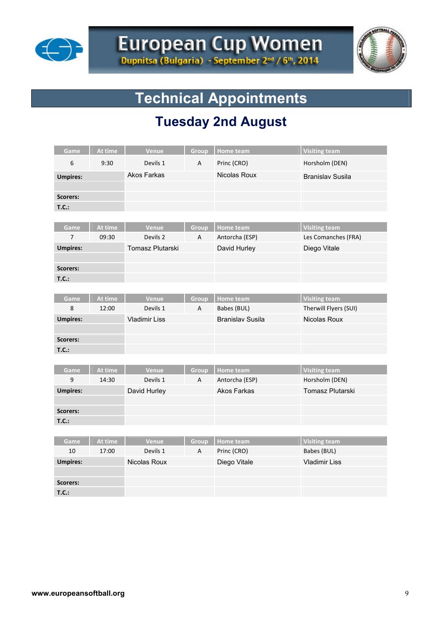



# **Technical Appointments**

# **Tuesday 2nd August**

| Game            | At time          | Venue                | Group      | <b>Home team</b>            | <b>Visiting team</b>                   |
|-----------------|------------------|----------------------|------------|-----------------------------|----------------------------------------|
| 6               | 9:30             | Devils 1             | А          | Princ (CRO)                 | Horsholm (DEN)                         |
| <b>Umpires:</b> |                  | <b>Akos Farkas</b>   |            | Nicolas Roux                | <b>Branislav Susila</b>                |
|                 |                  |                      |            |                             |                                        |
| Scorers:        |                  |                      |            |                             |                                        |
| T.C.:           |                  |                      |            |                             |                                        |
|                 |                  |                      |            |                             |                                        |
| Game            | At time          | Venue                | Group      | Home team                   | <b>Visiting team</b>                   |
| $\overline{7}$  | 09:30            | Devils 2             | Α          | Antorcha (ESP)              | Les Comanches (FRA)                    |
| <b>Umpires:</b> |                  | Tomasz Plutarski     |            | David Hurley                | Diego Vitale                           |
|                 |                  |                      |            |                             |                                        |
| Scorers:        |                  |                      |            |                             |                                        |
| T.C.:           |                  |                      |            |                             |                                        |
|                 |                  |                      |            |                             |                                        |
| Game            | At time          | Venue                | Group      | <b>Home team</b>            | <b>Visiting team</b>                   |
| 8               | 12:00            | Devils 1             | A          | Babes (BUL)                 | Therwill Flyers (SUI)                  |
| <b>Umpires:</b> |                  | <b>Vladimir Liss</b> |            | <b>Branislav Susila</b>     | Nicolas Roux                           |
|                 |                  |                      |            |                             |                                        |
| Scorers:        |                  |                      |            |                             |                                        |
| T.C.:           |                  |                      |            |                             |                                        |
|                 |                  |                      |            |                             |                                        |
| Game<br>9       | At time<br>14:30 | Venue<br>Devils 1    | Group<br>А | Home team<br>Antorcha (ESP) | <b>Visiting team</b><br>Horsholm (DEN) |
|                 |                  |                      |            | <b>Akos Farkas</b>          | Tomasz Plutarski                       |
| <b>Umpires:</b> |                  | David Hurley         |            |                             |                                        |
| Scorers:        |                  |                      |            |                             |                                        |
| T.C.:           |                  |                      |            |                             |                                        |
|                 |                  |                      |            |                             |                                        |
| Game            | At time          | Venue                | Group      | Home team                   | <b>Visiting team</b>                   |
| 10              | 17:00            | Devils 1             | А          | Princ (CRO)                 | Babes (BUL)                            |
| <b>Umpires:</b> |                  | Nicolas Roux         |            | Diego Vitale                | <b>Vladimir Liss</b>                   |
|                 |                  |                      |            |                             |                                        |
| <b>Scorers:</b> |                  |                      |            |                             |                                        |
| T.C.:           |                  |                      |            |                             |                                        |